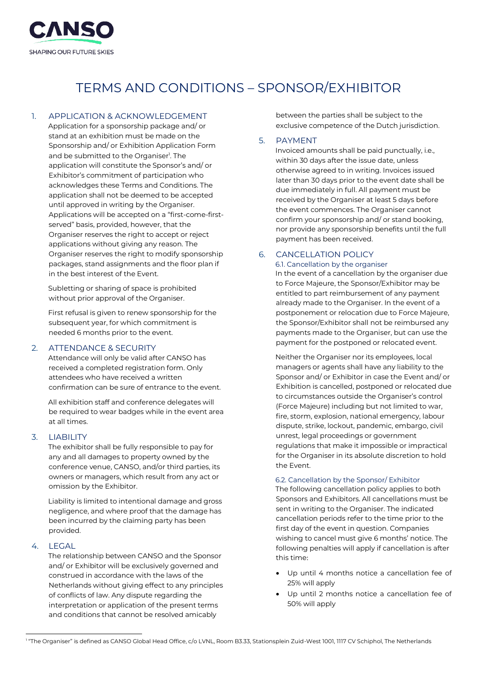

# TERMS AND CONDITIONS – SPONSOR/EXHIBITOR

# 1. APPLICATION & ACKNOWLEDGEMENT

Application for a sponsorship package and/ or stand at an exhibition must be made on the Sponsorship and/ or Exhibition Application Form and be submitted to the Organiser<sup>1</sup>. The application will constitute the Sponsor's and/ or Exhibitor's commitment of participation who acknowledges these Terms and Conditions. The application shall not be deemed to be accepted until approved in writing by the Organiser. Applications will be accepted on a "first-come-firstserved" basis, provided, however, that the Organiser reserves the right to accept or reject applications without giving any reason. The Organiser reserves the right to modify sponsorship packages, stand assignments and the floor plan if in the best interest of the Event.

Subletting or sharing of space is prohibited without prior approval of the Organiser.

First refusal is given to renew sponsorship for the subsequent year, for which commitment is needed 6 months prior to the event.

# 2. ATTENDANCE & SECURITY

Attendance will only be valid after CANSO has received a completed registration form. Only attendees who have received a written confirmation can be sure of entrance to the event.

All exhibition staff and conference delegates will be required to wear badges while in the event area at all times.

#### 3. LIABILITY

The exhibitor shall be fully responsible to pay for any and all damages to property owned by the conference venue, CANSO, and/or third parties, its owners or managers, which result from any act or omission by the Exhibitor.

Liability is limited to intentional damage and gross negligence, and where proof that the damage has been incurred by the claiming party has been provided.

# 4. LEGAL

The relationship between CANSO and the Sponsor and/ or Exhibitor will be exclusively governed and construed in accordance with the laws of the Netherlands without giving effect to any principles of conflicts of law. Any dispute regarding the interpretation or application of the present terms and conditions that cannot be resolved amicably

between the parties shall be subject to the exclusive competence of the Dutch jurisdiction.

# 5. PAYMENT

Invoiced amounts shall be paid punctually, i.e., within 30 days after the issue date, unless otherwise agreed to in writing. Invoices issued later than 30 days prior to the event date shall be due immediately in full. All payment must be received by the Organiser at least 5 days before the event commences. The Organiser cannot confirm your sponsorship and/ or stand booking, nor provide any sponsorship benefits until the full payment has been received.

# 6. CANCELLATION POLICY

6.1. Cancellation by the organiser In the event of a cancellation by the organiser due to Force Majeure, the Sponsor/Exhibitor may be entitled to part reimbursement of any payment already made to the Organiser. In the event of a postponement or relocation due to Force Majeure, the Sponsor/Exhibitor shall not be reimbursed any payments made to the Organiser, but can use the payment for the postponed or relocated event.

Neither the Organiser nor its employees, local managers or agents shall have any liability to the Sponsor and/ or Exhibitor in case the Event and/ or Exhibition is cancelled, postponed or relocated due to circumstances outside the Organiser's control (Force Majeure) including but not limited to war, fire, storm, explosion, national emergency, labour dispute, strike, lockout, pandemic, embargo, civil unrest, legal proceedings or government regulations that make it impossible or impractical for the Organiser in its absolute discretion to hold the Event.

#### 6.2. Cancellation by the Sponsor/ Exhibitor

The following cancellation policy applies to both Sponsors and Exhibitors. All cancellations must be sent in writing to the Organiser. The indicated cancellation periods refer to the time prior to the first day of the event in question. Companies wishing to cancel must give 6 months' notice. The following penalties will apply if cancellation is after this time:

- Up until 4 months notice a cancellation fee of 25% will apply
- Up until 2 months notice a cancellation fee of 50% will apply

<sup>1</sup> "The Organiser" is defined as CANSO Global Head Office, c/o LVNL, Room B3.33, Stationsplein Zuid-West 1001, 1117 CV Schiphol, The Netherlands